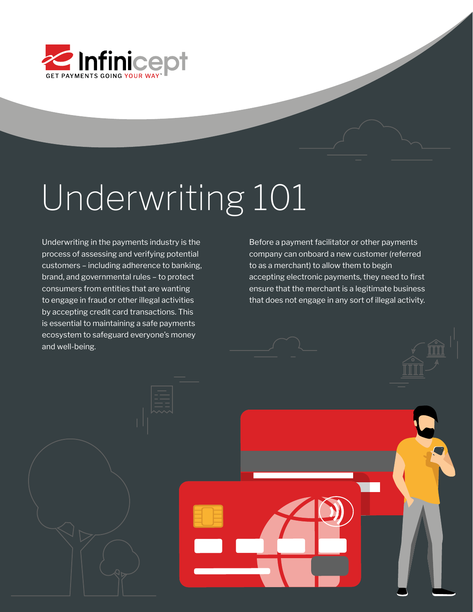

# Underwriting 101

Underwriting in the payments industry is the process of assessing and verifying potential customers – including adherence to banking, brand, and governmental rules – to protect consumers from entities that are wanting to engage in fraud or other illegal activities by accepting credit card transactions. This is essential to maintaining a safe payments ecosystem to safeguard everyone's money and well-being.

Before a payment facilitator or other payments company can onboard a new customer (referred to as a merchant) to allow them to begin accepting electronic payments, they need to first ensure that the merchant is a legitimate business that does not engage in any sort of illegal activity.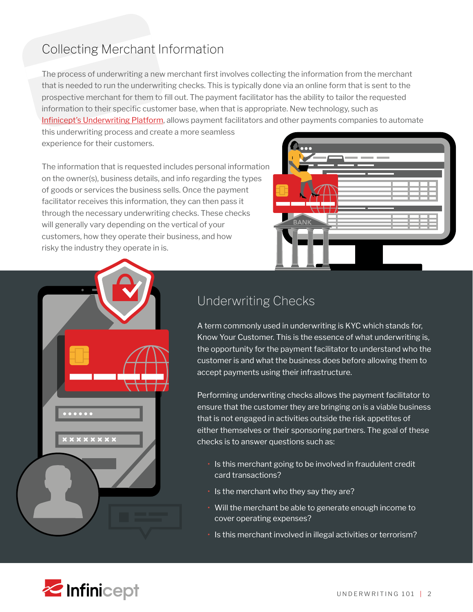## Collecting Merchant Information

The process of underwriting a new merchant first involves collecting the information from the merchant that is needed to run the underwriting checks. This is typically done via an online form that is sent to the prospective merchant for them to fill out. The payment facilitator has the ability to tailor the requested information to their specific customer base, when that is appropriate. New technology, such as [Infinicept's Underwriting Platform](https://www.infinicept.com/underwriting-on-demand/), allows payment facilitators and other payments companies to automate

this underwriting process and create a more seamless experience for their customers.

The information that is requested includes personal information on the owner(s), business details, and info regarding the types of goods or services the business sells. Once the payment facilitator receives this information, they can then pass it through the necessary underwriting checks. These checks will generally vary depending on the vertical of your customers, how they operate their business, and how risky the industry they operate in is.





## Underwriting Checks

A term commonly used in underwriting is KYC which stands for, Know Your Customer. This is the essence of what underwriting is, the opportunity for the payment facilitator to understand who the customer is and what the business does before allowing them to accept payments using their infrastructure.

Performing underwriting checks allows the payment facilitator to ensure that the customer they are bringing on is a viable business that is not engaged in activities outside the risk appetites of either themselves or their sponsoring partners. The goal of these checks is to answer questions such as:

- Is this merchant going to be involved in fraudulent credit card transactions?
- Is the merchant who they say they are?
- Will the merchant be able to generate enough income to cover operating expenses?
- Is this merchant involved in illegal activities or terrorism?

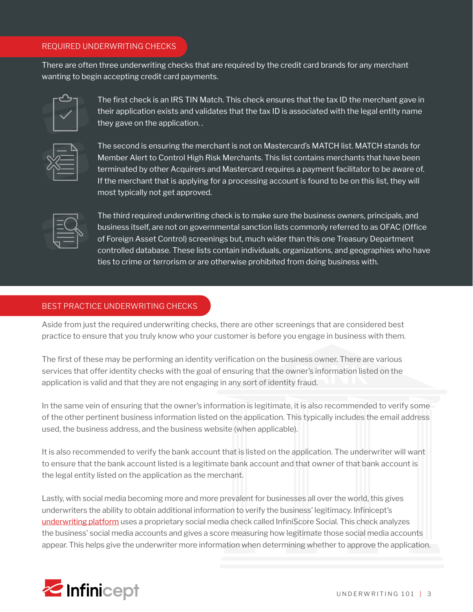#### REQUIRED UNDERWRITING CHECKS

There are often three underwriting checks that are required by the credit card brands for any merchant wanting to begin accepting credit card payments.



The first check is an IRS TIN Match. This check ensures that the tax ID the merchant gave in their application exists and validates that the tax ID is associated with the legal entity name they gave on the application. .

The second is ensuring the merchant is not on Mastercard's MATCH list. MATCH stands for Member Alert to Control High Risk Merchants. This list contains merchants that have been terminated by other Acquirers and Mastercard requires a payment facilitator to be aware of. If the merchant that is applying for a processing account is found to be on this list, they will most typically not get approved.

| _               |
|-----------------|
| ____<br>_______ |

The third required underwriting check is to make sure the business owners, principals, and business itself, are not on governmental sanction lists commonly referred to as OFAC (Office of Foreign Asset Control) screenings but, much wider than this one Treasury Department controlled database. These lists contain individuals, organizations, and geographies who have ties to crime or terrorism or are otherwise prohibited from doing business with.

#### BEST PRACTICE UNDERWRITING CHECKS

Aside from just the required underwriting checks, there are other screenings that are considered best practice to ensure that you truly know who your customer is before you engage in business with them.

The first of these may be performing an identity verification on the business owner. There are various services that offer identity checks with the goal of ensuring that the owner's information listed on the application is valid and that they are not engaging in any sort of identity fraud.

In the same vein of ensuring that the owner's information is legitimate, it is also recommended to verify some of the other pertinent business information listed on the application. This typically includes the email address used, the business address, and the business website (when applicable).

It is also recommended to verify the bank account that is listed on the application. The underwriter will want to ensure that the bank account listed is a legitimate bank account and that owner of that bank account is the legal entity listed on the application as the merchant.

Lastly, with social media becoming more and more prevalent for businesses all over the world, this gives underwriters the ability to obtain additional information to verify the business' legitimacy. Infinicept's [underwriting platform](https://www.infinicept.com/underwriting-on-demand/) uses a proprietary social media check called InfiniScore Social. This check analyzes the business' social media accounts and gives a score measuring how legitimate those social media accounts appear. This helps give the underwriter more information when determining whether to approve the application.